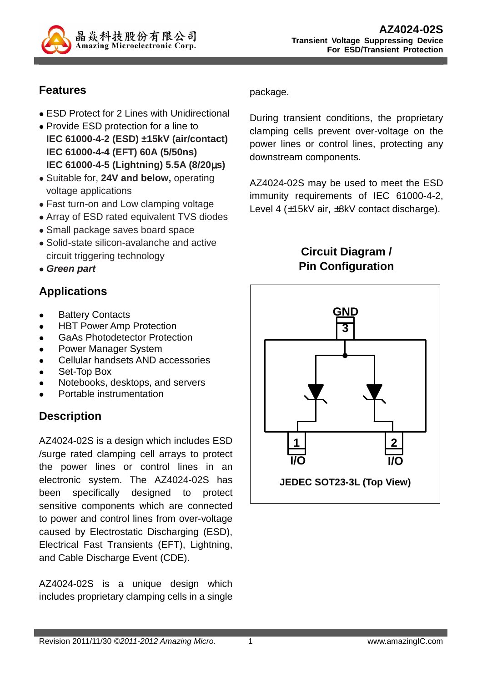

### **Features**

- **ESD Protect for 2 Lines with Unidirectional**
- Provide ESD protection for a line to **IEC 61000-4-2 (ESD) ±15kV (air/contact) IEC 61000-4-4 (EFT) 60A (5/50ns) IEC 61000-4-5 (Lightning) 5.5A (8/20**µ**s)**
- Suitable for, **24V and below,** operating voltage applications
- Fast turn-on and Low clamping voltage
- Array of ESD rated equivalent TVS diodes
- Small package saves board space
- Solid-state silicon-avalanche and active circuit triggering technology
- **Green part**

### **Applications**

- Battery Contacts
- HBT Power Amp Protection
- GaAs Photodetector Protection
- Power Manager System
- Cellular handsets AND accessories
- Set-Top Box
- Notebooks, desktops, and servers
- Portable instrumentation

# **Description**

AZ4024-02S is a design which includes ESD /surge rated clamping cell arrays to protect the power lines or control lines in an electronic system. The AZ4024-02S has been specifically designed to protect sensitive components which are connected to power and control lines from over-voltage caused by Electrostatic Discharging (ESD), Electrical Fast Transients (EFT), Lightning, and Cable Discharge Event (CDE).

AZ4024-02S is a unique design which includes proprietary clamping cells in a single package.

During transient conditions, the proprietary clamping cells prevent over-voltage on the power lines or control lines, protecting any downstream components.

AZ4024-02S may be used to meet the ESD immunity requirements of IEC 61000-4-2, Level 4 (±15kV air, ±8kV contact discharge).



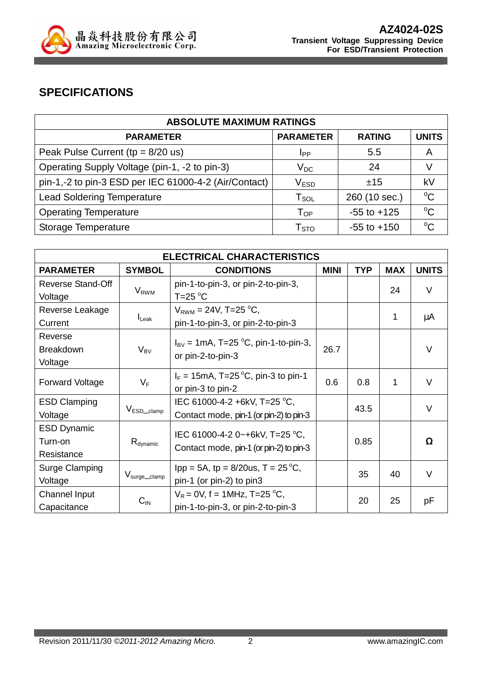

### **SPECIFICATIONS**

| <b>ABSOLUTE MAXIMUM RATINGS</b>                       |                             |                 |              |  |
|-------------------------------------------------------|-----------------------------|-----------------|--------------|--|
| <b>PARAMETER</b>                                      | <b>PARAMETER</b>            | <b>RATING</b>   | <b>UNITS</b> |  |
| Peak Pulse Current ( $tp = 8/20$ us)                  | <b>I</b> pp                 | 5.5             | A            |  |
| Operating Supply Voltage (pin-1, -2 to pin-3)         | $\mathsf{V}_{\mathsf{DC}}$  | 24              |              |  |
| pin-1,-2 to pin-3 ESD per IEC 61000-4-2 (Air/Contact) | V <sub>ESD</sub>            | ±15             | kV           |  |
| <b>Lead Soldering Temperature</b>                     | $\mathsf{T}_{\mathsf{SOL}}$ | 260 (10 sec.)   | $^{\circ}C$  |  |
| <b>Operating Temperature</b>                          | $T_{OP}$                    | $-55$ to $+125$ | $\rm ^{o}C$  |  |
| Storage Temperature                                   | $\mathsf{T}_{\text{STO}}$   | $-55$ to $+150$ |              |  |

| <b>ELECTRICAL CHARACTERISTICS</b> |                           |                                                                          |             |            |            |              |
|-----------------------------------|---------------------------|--------------------------------------------------------------------------|-------------|------------|------------|--------------|
| <b>PARAMETER</b>                  | <b>SYMBOL</b>             | <b>CONDITIONS</b>                                                        | <b>MINI</b> | <b>TYP</b> | <b>MAX</b> | <b>UNITS</b> |
| <b>Reverse Stand-Off</b>          |                           | pin-1-to-pin-3, or pin-2-to-pin-3,                                       |             |            |            | $\vee$       |
| Voltage                           | <b>V</b> <sub>RWM</sub>   | $T = 25$ °C                                                              |             |            | 24         |              |
| Reverse Leakage                   |                           | $V_{RWM} = 24V$ , T=25 °C,                                               |             |            | 1          |              |
| Current                           | $I_{\text{Leak}}$         | pin-1-to-pin-3, or pin-2-to-pin-3                                        |             |            |            | μA           |
| Reverse                           |                           | $I_{\text{BV}} = 1 \text{mA}, T = 25 \text{ °C}, \text{pin-1-to-pin-3},$ |             |            |            |              |
| <b>Breakdown</b>                  | $V_{BV}$                  | or pin-2-to-pin-3                                                        | 26.7        |            |            | $\vee$       |
| Voltage                           |                           |                                                                          |             |            |            |              |
|                                   | $V_F$                     | $I_F = 15 \text{mA}$ , T=25 °C, pin-3 to pin-1                           | 0.6<br>0.8  |            | 1          | $\vee$       |
| <b>Forward Voltage</b>            |                           | or pin-3 to pin-2                                                        |             |            |            |              |
| <b>ESD Clamping</b>               | $V_{ESD\_clamp}$          | IEC 61000-4-2 +6kV, T=25 °C,                                             | 43.5        |            |            | $\vee$       |
| Voltage                           |                           | Contact mode, pin-1 (or pin-2) to pin-3                                  |             |            |            |              |
| <b>ESD Dynamic</b>                |                           | IEC 61000-4-2 0~+6kV, T=25 °C,                                           |             |            |            |              |
| Turn-on                           | $R_{\text{dynamic}}$      | Contact mode, pin-1 (or pin-2) to pin-3                                  |             | 0.85       |            | Ω            |
| Resistance                        |                           |                                                                          |             |            |            |              |
| <b>Surge Clamping</b>             |                           | $1pp = 5A$ , tp = 8/20us, T = 25 °C,                                     |             | 35         | 40         | $\vee$       |
| Voltage                           | V <sub>surge</sub> _clamp | pin-1 (or pin-2) to pin3                                                 |             |            |            |              |
| Channel Input                     |                           | $V_R$ = 0V, f = 1MHz, T=25 °C,                                           |             |            | 25         |              |
| Capacitance                       | $C_{\text{IN}}$           | pin-1-to-pin-3, or pin-2-to-pin-3                                        |             | 20         |            | рF           |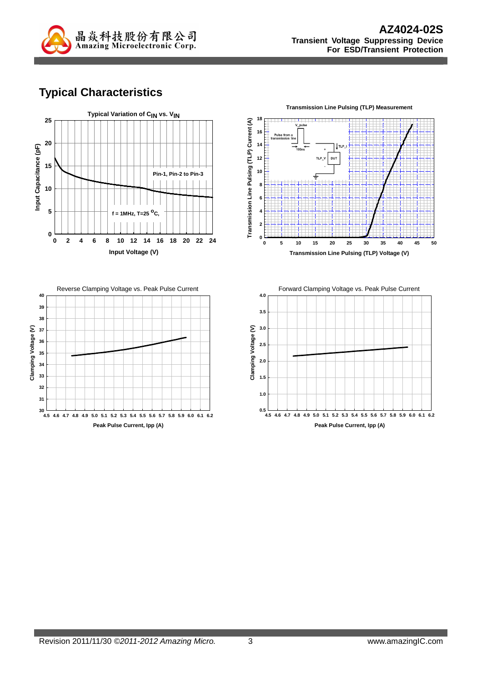

### **Typical Characteristics**







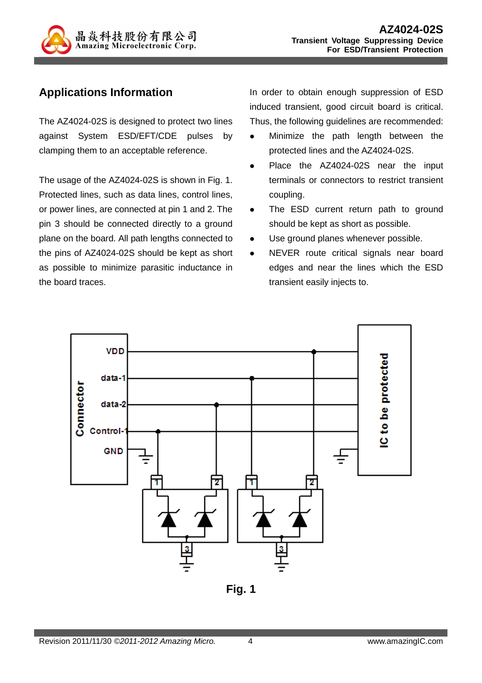

### **Applications Information**

The AZ4024-02S is designed to protect two lines against System ESD/EFT/CDE pulses by clamping them to an acceptable reference.

The usage of the AZ4024-02S is shown in Fig. 1. Protected lines, such as data lines, control lines, or power lines, are connected at pin 1 and 2. The pin 3 should be connected directly to a ground plane on the board. All path lengths connected to the pins of AZ4024-02S should be kept as short as possible to minimize parasitic inductance in the board traces.

In order to obtain enough suppression of ESD induced transient, good circuit board is critical. Thus, the following guidelines are recommended:

- Minimize the path length between the protected lines and the AZ4024-02S.
- Place the AZ4024-02S near the input terminals or connectors to restrict transient coupling.
- The ESD current return path to ground should be kept as short as possible.
- Use ground planes whenever possible.
- NEVER route critical signals near board edges and near the lines which the ESD transient easily injects to.



**Fig. 1**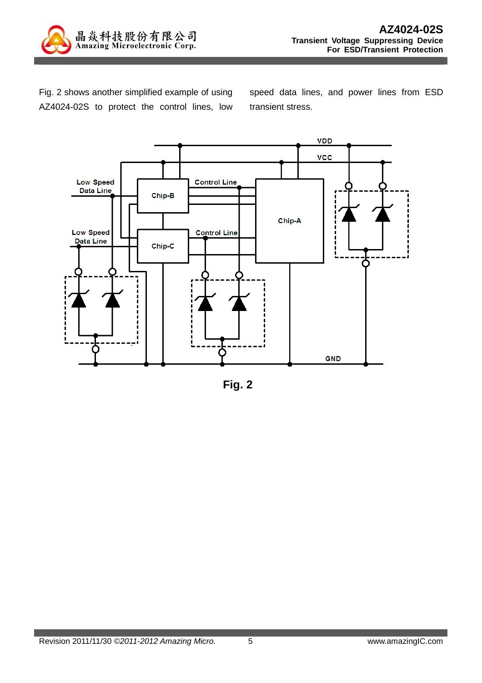

Fig. 2 shows another simplified example of using AZ4024-02S to protect the control lines, low speed data lines, and power lines from ESD transient stress.



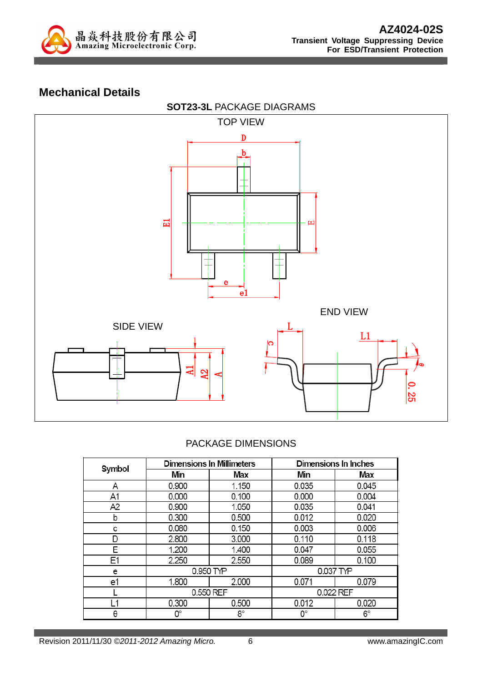

#### **Mechanical Details**



#### PACKAGE DIMENSIONS

| Symbol |           | <b>Dimensions In Millimeters</b> | Dimensions In Inches |       |  |
|--------|-----------|----------------------------------|----------------------|-------|--|
|        | Min       | Max                              | Min                  | Max   |  |
| Α      | 0.900     | 1.150                            | 0.035                | 0.045 |  |
| A1     | 0.000     | 0.100                            | 0.000                | 0.004 |  |
| A2     | 0.900     | 1.050                            | 0.035                | 0.041 |  |
| b      | 0.300     | 0.500                            | 0.012                | 0.020 |  |
| с      | 0.080     | 0.150                            | 0.003                | 0.006 |  |
| D      | 2.800     | 3.000                            | 0.110                | 0.118 |  |
| E      | 1.200     | 1.400                            | 0.047                | 0.055 |  |
| E1     | 2.250     | 2.550                            | 0.089                | 0.100 |  |
| e      | 0.950 TYP |                                  | 0.037 TYP            |       |  |
| e1     | 1.800     | 2.000                            | 0.071                | 0.079 |  |
|        | 0.550 REF |                                  | 0.022 REF            |       |  |
| l 1    | 0.300     | 0.500                            | 0.012                | 0.020 |  |
| θ      | О°        | 8°                               | О°                   | 6°    |  |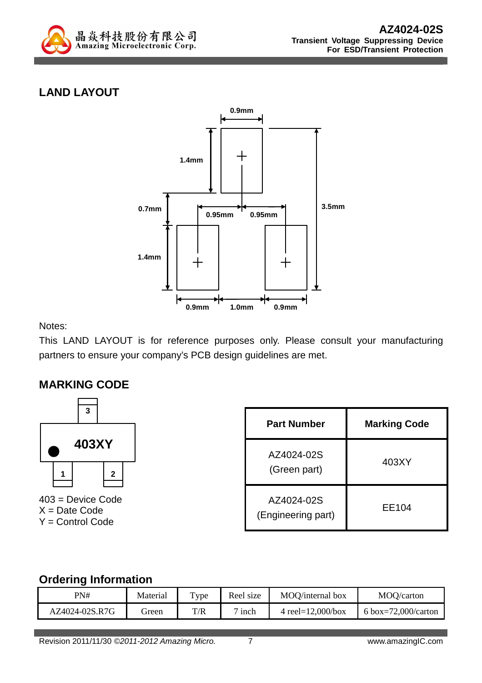

# **LAND LAYOUT**



Notes:

This LAND LAYOUT is for reference purposes only. Please consult your manufacturing partners to ensure your company's PCB design guidelines are met.

#### **MARKING CODE**



403 = Device Code  $X = Date Code$ Y = Control Code

| Part Number                      | <b>Marking Code</b> |
|----------------------------------|---------------------|
| AZ4024-02S<br>(Green part)       | 403XY               |
| AZ4024-02S<br>(Engineering part) | EE104               |

#### **Ordering Information**

| PN#            | Material | Type | Reel size | MOQ/internal box      | MOQ/carton          |
|----------------|----------|------|-----------|-----------------------|---------------------|
| AZ4024-02S.R7G | freen    | T/R  | 1nch      | 4 reel= $12,000/b$ ox | 6 box=72,000/carton |